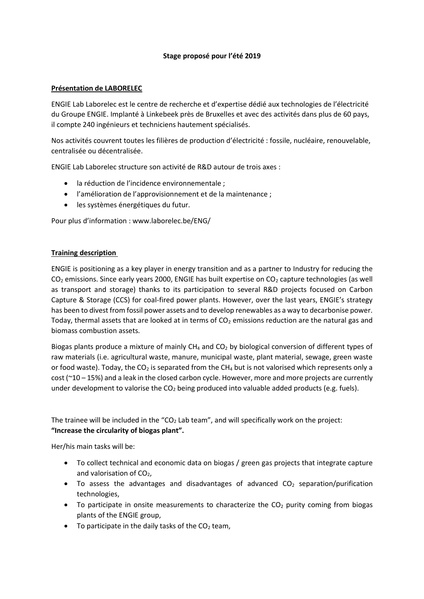## **Stage proposé pour l'été 2019**

## **Présentation de LABORELEC**

ENGIE Lab Laborelec est le centre de recherche et d'expertise dédié aux technologies de l'électricité du Groupe ENGIE. Implanté à Linkebeek près de Bruxelles et avec des activités dans plus de 60 pays, il compte 240 ingénieurs et techniciens hautement spécialisés.

Nos activités couvrent toutes les filières de production d'électricité : fossile, nucléaire, renouvelable, centralisée ou décentralisée.

ENGIE Lab Laborelec structure son activité de R&D autour de trois axes :

- la réduction de l'incidence environnementale ;
- l'amélioration de l'approvisionnement et de la maintenance ;
- les systèmes énergétiques du futur.

Pour plus d'information : www.laborelec.be/ENG/

## **Training description**

ENGIE is positioning as a key player in energy transition and as a partner to Industry for reducing the  $CO<sub>2</sub>$  emissions. Since early years 2000, ENGIE has built expertise on  $CO<sub>2</sub>$  capture technologies (as well as transport and storage) thanks to its participation to several R&D projects focused on Carbon Capture & Storage (CCS) for coal-fired power plants. However, over the last years, ENGIE's strategy has been to divest from fossil power assets and to develop renewables as a way to decarbonise power. Today, thermal assets that are looked at in terms of  $CO<sub>2</sub>$  emissions reduction are the natural gas and biomass combustion assets.

Biogas plants produce a mixture of mainly  $CH<sub>4</sub>$  and  $CO<sub>2</sub>$  by biological conversion of different types of raw materials (i.e. agricultural waste, manure, municipal waste, plant material, sewage, green waste or food waste). Today, the  $CO<sub>2</sub>$  is separated from the CH<sub>4</sub> but is not valorised which represents only a cost (~10 – 15%) and a leak in the closed carbon cycle. However, more and more projects are currently under development to valorise the  $CO<sub>2</sub>$  being produced into valuable added products (e.g. fuels).

The trainee will be included in the " $CO<sub>2</sub>$  Lab team", and will specifically work on the project: **"Increase the circularity of biogas plant".**

Her/his main tasks will be:

- To collect technical and economic data on biogas / green gas projects that integrate capture and valorisation of  $CO<sub>2</sub>$ ,
- To assess the advantages and disadvantages of advanced  $CO<sub>2</sub>$  separation/purification technologies,
- To participate in onsite measurements to characterize the  $CO<sub>2</sub>$  purity coming from biogas plants of the ENGIE group,
- To participate in the daily tasks of the  $CO<sub>2</sub>$  team,